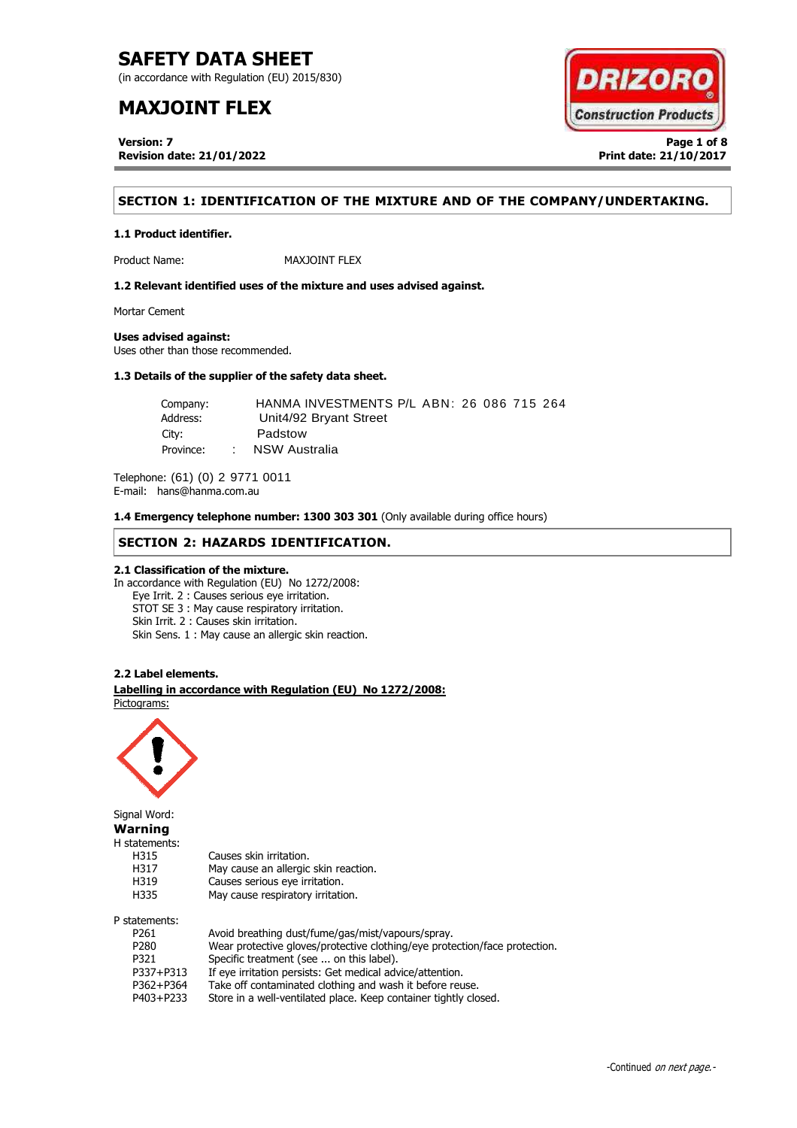(in accordance with Regulation (EU) 2015/830)

# **MAXJOINT FLEX**

**Version: 7 Page 1 of 8 Revision date: 21/01/2022 Print date: 21/10/2017**



## **SECTION 1: IDENTIFICATION OF THE MIXTURE AND OF THE COMPANY/UNDERTAKING.**

## **1.1 Product identifier.**

Product Name: MAXJOINT FLEX

**1.2 Relevant identified uses of the mixture and uses advised against.**

Mortar Cement

## **Uses advised against:**

Uses other than those recommended.

## **1.3 Details of the supplier of the safety data sheet.**

| Company:  |                 | HANMA INVESTMENTS P/L ABN: 26 086 715 264 |
|-----------|-----------------|-------------------------------------------|
| Address:  |                 | Unit4/92 Bryant Street                    |
| City:     |                 | Padstow                                   |
| Province: | <b>Contract</b> | NSW Australia                             |

Telephone: (61) (0) 2 9771 0011 E-mail: hans@hanma.com.au

**1.4 Emergency telephone number: 1300 303 301** (Only available during office hours)

## **SECTION 2: HAZARDS IDENTIFICATION.**

## **2.1 Classification of the mixture.**

In accordance with Regulation (EU) No 1272/2008: Eye Irrit. 2 : Causes serious eye irritation. STOT SE 3 : May cause respiratory irritation. Skin Irrit. 2 : Causes skin irritation. Skin Sens. 1 : May cause an allergic skin reaction.

## **2.2 Label elements.**

. **Labelling in accordance with Regulation (EU) No 1272/2008:** Pictograms:

May cause an allergic skin reaction.



Signal Word: **Warning** H statements: H315 Causes skin irritation.<br>H317 May cause an allergic H319 Causes serious eye irritation. H335 May cause respiratory irritation. P statements:

| Avoid breathing dust/fume/gas/mist/vapours/spray.                          |
|----------------------------------------------------------------------------|
| Wear protective gloves/protective clothing/eye protection/face protection. |
| Specific treatment (see  on this label).                                   |
| If eye irritation persists: Get medical advice/attention.                  |
| Take off contaminated clothing and wash it before reuse.                   |
| Store in a well-ventilated place. Keep container tightly closed.           |
|                                                                            |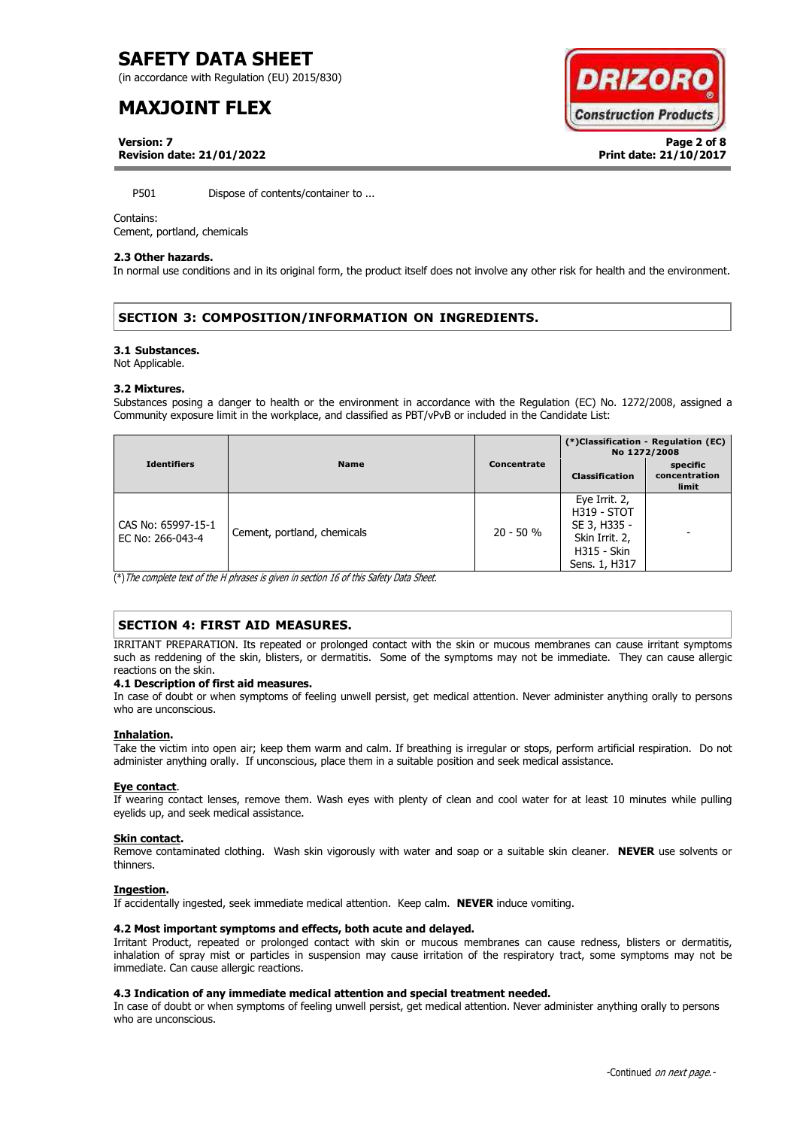(in accordance with Regulation (EU) 2015/830)

# **MAXJOINT FLEX**



**Version: 7 Page 2 of 8 Revision date: 21/01/2022 Print date: 21/10/2017**

P501 Dispose of contents/container to ...

## Contains:

Cement, portland, chemicals

## **2.3 Other hazards.**

In normal use conditions and in its original form, the product itself does not involve any other risk for health and the environment.

## **SECTION 3: COMPOSITION/INFORMATION ON INGREDIENTS.**

## **3.1 Substances.**

Not Applicable.

## **3.2 Mixtures.**

Substances posing a danger to health or the environment in accordance with the Regulation (EC) No. 1272/2008, assigned a Community exposure limit in the workplace, and classified as PBT/vPvB or included in the Candidate List:

|                                        |                             |             | (*)Classification - Regulation (EC)<br>No 1272/2008                                                          |                                    |
|----------------------------------------|-----------------------------|-------------|--------------------------------------------------------------------------------------------------------------|------------------------------------|
| <b>Identifiers</b>                     | <b>Name</b>                 | Concentrate | <b>Classification</b>                                                                                        | specific<br>concentration<br>limit |
| CAS No: 65997-15-1<br>EC No: 266-043-4 | Cement, portland, chemicals | $20 - 50 %$ | Eye Irrit. 2,<br><b>H319 - STOT</b><br>SE 3, H335 -<br>Skin Irrit. 2,<br><b>H315 - Skin</b><br>Sens. 1, H317 |                                    |

(\*)The complete text of the H phrases is given in section 16 of this Safety Data Sheet.

## **SECTION 4: FIRST AID MEASURES.**

IRRITANT PREPARATION. Its repeated or prolonged contact with the skin or mucous membranes can cause irritant symptoms such as reddening of the skin, blisters, or dermatitis. Some of the symptoms may not be immediate. They can cause allergic reactions on the skin.

## **4.1 Description of first aid measures.**

In case of doubt or when symptoms of feeling unwell persist, get medical attention. Never administer anything orally to persons who are unconscious.

## **Inhalation.**

Take the victim into open air; keep them warm and calm. If breathing is irregular or stops, perform artificial respiration. Do not administer anything orally. If unconscious, place them in a suitable position and seek medical assistance.

## **Eye contact**.

If wearing contact lenses, remove them. Wash eyes with plenty of clean and cool water for at least 10 minutes while pulling eyelids up, and seek medical assistance.

## **Skin contact.**

Remove contaminated clothing. Wash skin vigorously with water and soap or a suitable skin cleaner. **NEVER** use solvents or thinners.

## **Ingestion.**

If accidentally ingested, seek immediate medical attention. Keep calm. **NEVER** induce vomiting.

## **4.2 Most important symptoms and effects, both acute and delayed.**

Irritant Product, repeated or prolonged contact with skin or mucous membranes can cause redness, blisters or dermatitis, inhalation of spray mist or particles in suspension may cause irritation of the respiratory tract, some symptoms may not be immediate. Can cause allergic reactions.

## **4.3 Indication of any immediate medical attention and special treatment needed.**

In case of doubt or when symptoms of feeling unwell persist, get medical attention. Never administer anything orally to persons who are unconscious.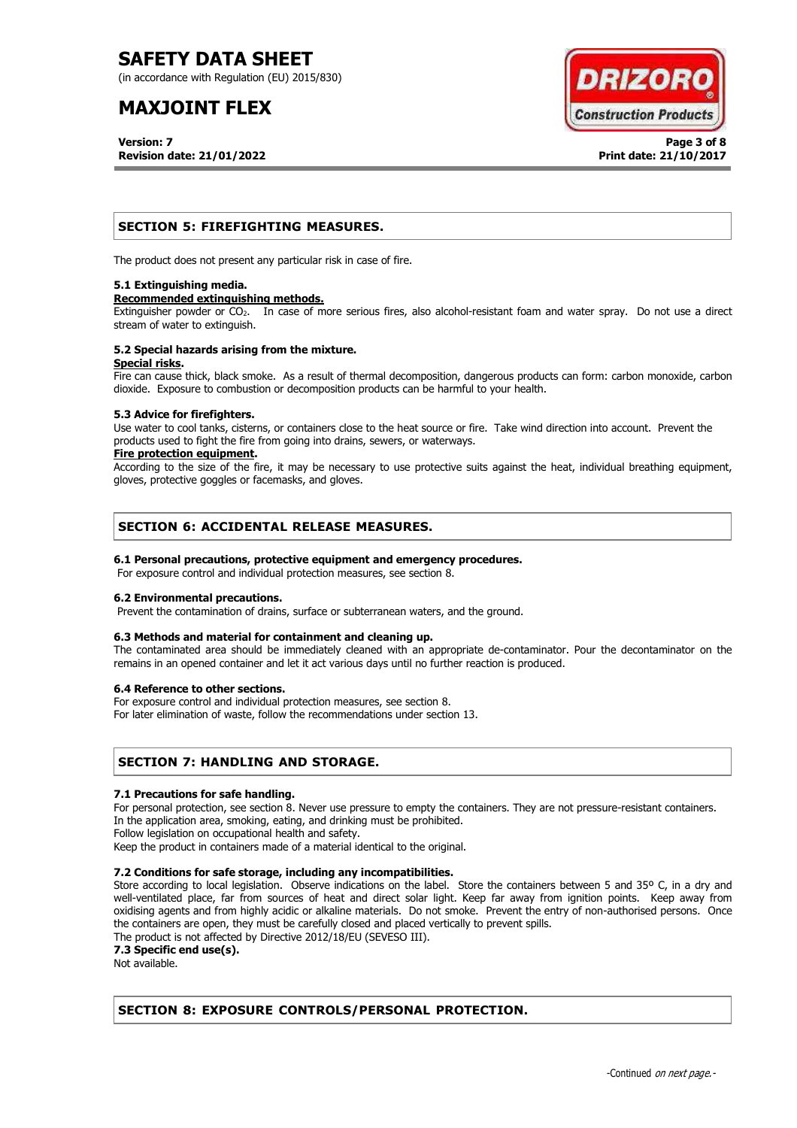(in accordance with Regulation (EU) 2015/830)

# **MAXJOINT FLEX**

**Version: 7 Page 3 of 8 Revision date: 21/01/2022 Print date: 21/10/2017**



## **SECTION 5: FIREFIGHTING MEASURES.**

The product does not present any particular risk in case of fire.

## **5.1 Extinguishing media.**

## **Recommended extinguishing methods.**

Extinguisher powder or CO<sub>2</sub>. In case of more serious fires, also alcohol-resistant foam and water spray. Do not use a direct stream of water to extinguish.

## **5.2 Special hazards arising from the mixture. Special risks.**

Fire can cause thick, black smoke. As a result of thermal decomposition, dangerous products can form: carbon monoxide, carbon dioxide. Exposure to combustion or decomposition products can be harmful to your health.

## **5.3 Advice for firefighters.**

Use water to cool tanks, cisterns, or containers close to the heat source or fire. Take wind direction into account. Prevent the products used to fight the fire from going into drains, sewers, or waterways.

## **Fire protection equipment.**

According to the size of the fire, it may be necessary to use protective suits against the heat, individual breathing equipment, gloves, protective goggles or facemasks, and gloves.

## **SECTION 6: ACCIDENTAL RELEASE MEASURES.**

## **6.1 Personal precautions, protective equipment and emergency procedures.**

For exposure control and individual protection measures, see section 8.

## **6.2 Environmental precautions.**

Prevent the contamination of drains, surface or subterranean waters, and the ground.

## **6.3 Methods and material for containment and cleaning up.**

The contaminated area should be immediately cleaned with an appropriate de-contaminator. Pour the decontaminator on the remains in an opened container and let it act various days until no further reaction is produced.

## **6.4 Reference to other sections.**

For exposure control and individual protection measures, see section 8.

For later elimination of waste, follow the recommendations under section 13.

## **SECTION 7: HANDLING AND STORAGE.**

## **7.1 Precautions for safe handling.**

For personal protection, see section 8. Never use pressure to empty the containers. They are not pressure-resistant containers. In the application area, smoking, eating, and drinking must be prohibited.

Follow legislation on occupational health and safety.

Keep the product in containers made of a material identical to the original.

## **7.2 Conditions for safe storage, including any incompatibilities.**

Store according to local legislation. Observe indications on the label. Store the containers between 5 and 35° C, in a dry and well-ventilated place, far from sources of heat and direct solar light. Keep far away from ignition points. Keep away from oxidising agents and from highly acidic or alkaline materials. Do not smoke. Prevent the entry of non-authorised persons. Once the containers are open, they must be carefully closed and placed vertically to prevent spills.

The product is not affected by Directive 2012/18/EU (SEVESO III).

**7.3 Specific end use(s).**

Not available.

## **SECTION 8: EXPOSURE CONTROLS/PERSONAL PROTECTION.**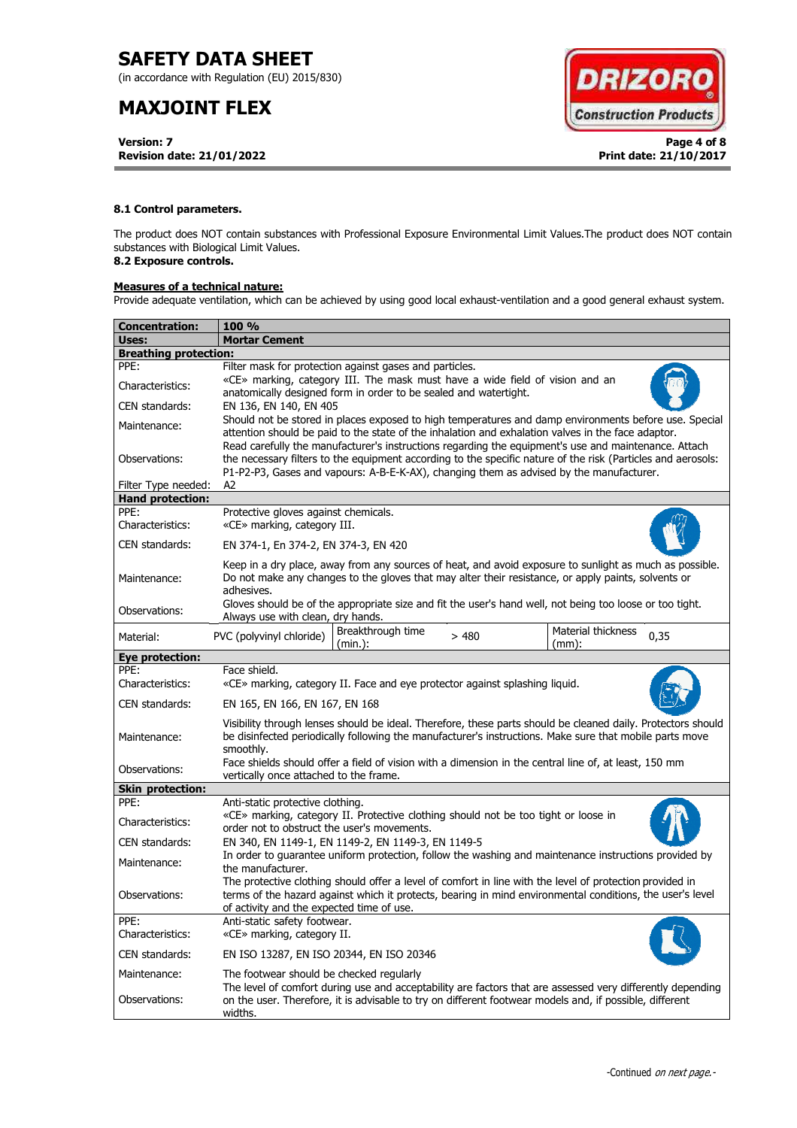(in accordance with Regulation (EU) 2015/830)

# **MAXJOINT FLEX**

**Version: 7 Page 4 of 8 Revision date: 21/01/2022 Print date: 21/10/2017**



## **8.1 Control parameters.**

The product does NOT contain substances with Professional Exposure Environmental Limit Values.The product does NOT contain substances with Biological Limit Values.

## **8.2 Exposure controls.**

## **Measures of a technical nature:**

Provide adequate ventilation, which can be achieved by using good local exhaust-ventilation and a good general exhaust system.

| <b>Concentration:</b>        | <b>100 %</b>                                                                                                                                                                                                                                                                                                        |  |  |  |  |
|------------------------------|---------------------------------------------------------------------------------------------------------------------------------------------------------------------------------------------------------------------------------------------------------------------------------------------------------------------|--|--|--|--|
| Uses:                        | <b>Mortar Cement</b>                                                                                                                                                                                                                                                                                                |  |  |  |  |
| <b>Breathing protection:</b> |                                                                                                                                                                                                                                                                                                                     |  |  |  |  |
| PPE:                         | Filter mask for protection against gases and particles.                                                                                                                                                                                                                                                             |  |  |  |  |
| Characteristics:             | «CE» marking, category III. The mask must have a wide field of vision and an<br>anatomically designed form in order to be sealed and watertight.                                                                                                                                                                    |  |  |  |  |
| CEN standards:               | EN 136, EN 140, EN 405                                                                                                                                                                                                                                                                                              |  |  |  |  |
| Maintenance:                 | Should not be stored in places exposed to high temperatures and damp environments before use. Special<br>attention should be paid to the state of the inhalation and exhalation valves in the face adaptor.<br>Read carefully the manufacturer's instructions regarding the equipment's use and maintenance. Attach |  |  |  |  |
| Observations:                | the necessary filters to the equipment according to the specific nature of the risk (Particles and aerosols:<br>P1-P2-P3, Gases and vapours: A-B-E-K-AX), changing them as advised by the manufacturer.                                                                                                             |  |  |  |  |
| Filter Type needed:          | A2                                                                                                                                                                                                                                                                                                                  |  |  |  |  |
| <b>Hand protection:</b>      |                                                                                                                                                                                                                                                                                                                     |  |  |  |  |
| PPE:<br>Characteristics:     | Protective gloves against chemicals.<br>«CE» marking, category III.                                                                                                                                                                                                                                                 |  |  |  |  |
| CEN standards:               | EN 374-1, En 374-2, EN 374-3, EN 420                                                                                                                                                                                                                                                                                |  |  |  |  |
| Maintenance:                 | Keep in a dry place, away from any sources of heat, and avoid exposure to sunlight as much as possible.<br>Do not make any changes to the gloves that may alter their resistance, or apply paints, solvents or<br>adhesives.                                                                                        |  |  |  |  |
| Observations:                | Gloves should be of the appropriate size and fit the user's hand well, not being too loose or too tight.<br>Always use with clean, dry hands.                                                                                                                                                                       |  |  |  |  |
| Material:                    | Breakthrough time<br>Material thickness<br>PVC (polyvinyl chloride)<br>>480<br>0,35<br>(min.):<br>$(mm)$ :                                                                                                                                                                                                          |  |  |  |  |
| <b>Eye protection:</b>       |                                                                                                                                                                                                                                                                                                                     |  |  |  |  |
| PPE:<br>Characteristics:     | Face shield.<br>«CE» marking, category II. Face and eye protector against splashing liquid.                                                                                                                                                                                                                         |  |  |  |  |
| CEN standards:               | EN 165, EN 166, EN 167, EN 168                                                                                                                                                                                                                                                                                      |  |  |  |  |
| Maintenance:                 | Visibility through lenses should be ideal. Therefore, these parts should be cleaned daily. Protectors should<br>be disinfected periodically following the manufacturer's instructions. Make sure that mobile parts move<br>smoothly.                                                                                |  |  |  |  |
| Observations:                | Face shields should offer a field of vision with a dimension in the central line of, at least, 150 mm<br>vertically once attached to the frame.                                                                                                                                                                     |  |  |  |  |
| <b>Skin protection:</b>      |                                                                                                                                                                                                                                                                                                                     |  |  |  |  |
| PPE:                         | Anti-static protective clothing.                                                                                                                                                                                                                                                                                    |  |  |  |  |
| Characteristics:             | «CE» marking, category II. Protective clothing should not be too tight or loose in<br>order not to obstruct the user's movements.                                                                                                                                                                                   |  |  |  |  |
| CEN standards:               | EN 340, EN 1149-1, EN 1149-2, EN 1149-3, EN 1149-5                                                                                                                                                                                                                                                                  |  |  |  |  |
| Maintenance:                 | In order to quarantee uniform protection, follow the washing and maintenance instructions provided by<br>the manufacturer.                                                                                                                                                                                          |  |  |  |  |
| Observations:                | The protective clothing should offer a level of comfort in line with the level of protection provided in<br>terms of the hazard against which it protects, bearing in mind environmental conditions, the user's level<br>of activity and the expected time of use.                                                  |  |  |  |  |
| PPE:<br>Characteristics:     | Anti-static safety footwear.<br>«CE» marking, category II.                                                                                                                                                                                                                                                          |  |  |  |  |
| CEN standards:               | EN ISO 13287, EN ISO 20344, EN ISO 20346                                                                                                                                                                                                                                                                            |  |  |  |  |
| Maintenance:                 | The footwear should be checked regularly                                                                                                                                                                                                                                                                            |  |  |  |  |
| Observations:                | The level of comfort during use and acceptability are factors that are assessed very differently depending<br>on the user. Therefore, it is advisable to try on different footwear models and, if possible, different<br>widths.                                                                                    |  |  |  |  |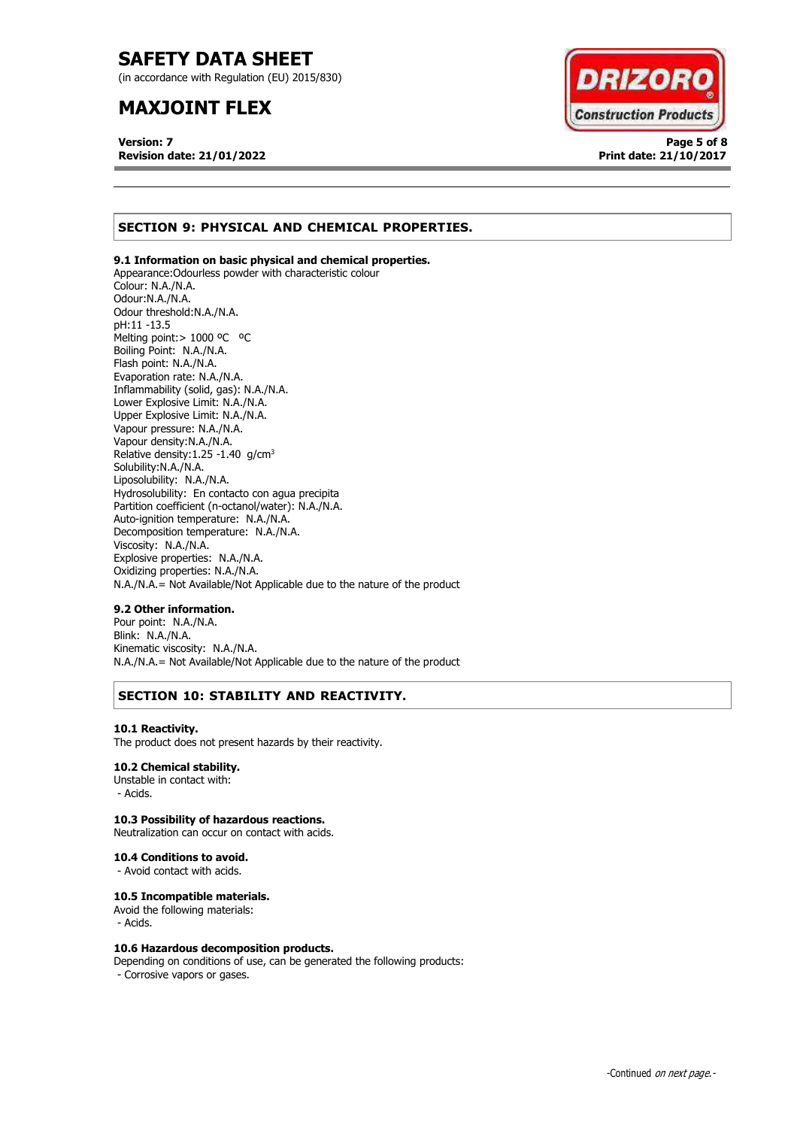(in accordance with Regulation (EU) 2015/830)

# **MAXJOINT FLEX**

**Version: 7 Page 5 of 8 Revision date: 21/01/2022 Print date: 21/10/2017**



## **SECTION 9: PHYSICAL AND CHEMICAL PROPERTIES.**

## **9.1 Information on basic physical and chemical properties.**

Appearance:Odourless powder with characteristic colour Colour: N.A./N.A. Odour:N.A./N.A. Odour threshold:N.A./N.A. pH:11 -13.5 Melting point: > 1000 °C °C Boiling Point: N.A./N.A. Flash point: N.A./N.A. Evaporation rate: N.A./N.A. Inflammability (solid, gas): N.A./N.A. Lower Explosive Limit: N.A./N.A. Upper Explosive Limit: N.A./N.A. Vapour pressure: N.A./N.A. Vapour density:N.A./N.A. Relative density:  $1.25 - 1.40$  g/cm<sup>3</sup> Solubility:N.A./N.A. Liposolubility: N.A./N.A. Hydrosolubility: En contacto con agua precipita Partition coefficient (n-octanol/water): N.A./N.A. Auto-ignition temperature: N.A./N.A. Decomposition temperature: N.A./N.A. Viscosity: N.A./N.A. Explosive properties: N.A./N.A. Oxidizing properties: N.A./N.A. N.A./N.A.= Not Available/Not Applicable due to the nature of the product

## **9.2 Other information.**

Pour point: N.A./N.A. Blink: N.A./N.A. Kinematic viscosity: N.A./N.A. N.A./N.A.= Not Available/Not Applicable due to the nature of the product

## **SECTION 10: STABILITY AND REACTIVITY.**

## **10.1 Reactivity.**

The product does not present hazards by their reactivity.

## **10.2 Chemical stability.**

Unstable in contact with: - Acids.

## **10.3 Possibility of hazardous reactions.**

Neutralization can occur on contact with acids.

#### **10.4 Conditions to avoid.**

- Avoid contact with acids.

## **10.5 Incompatible materials.**

Avoid the following materials: - Acids.

## **10.6 Hazardous decomposition products.**

Depending on conditions of use, can be generated the following products: - Corrosive vapors or gases.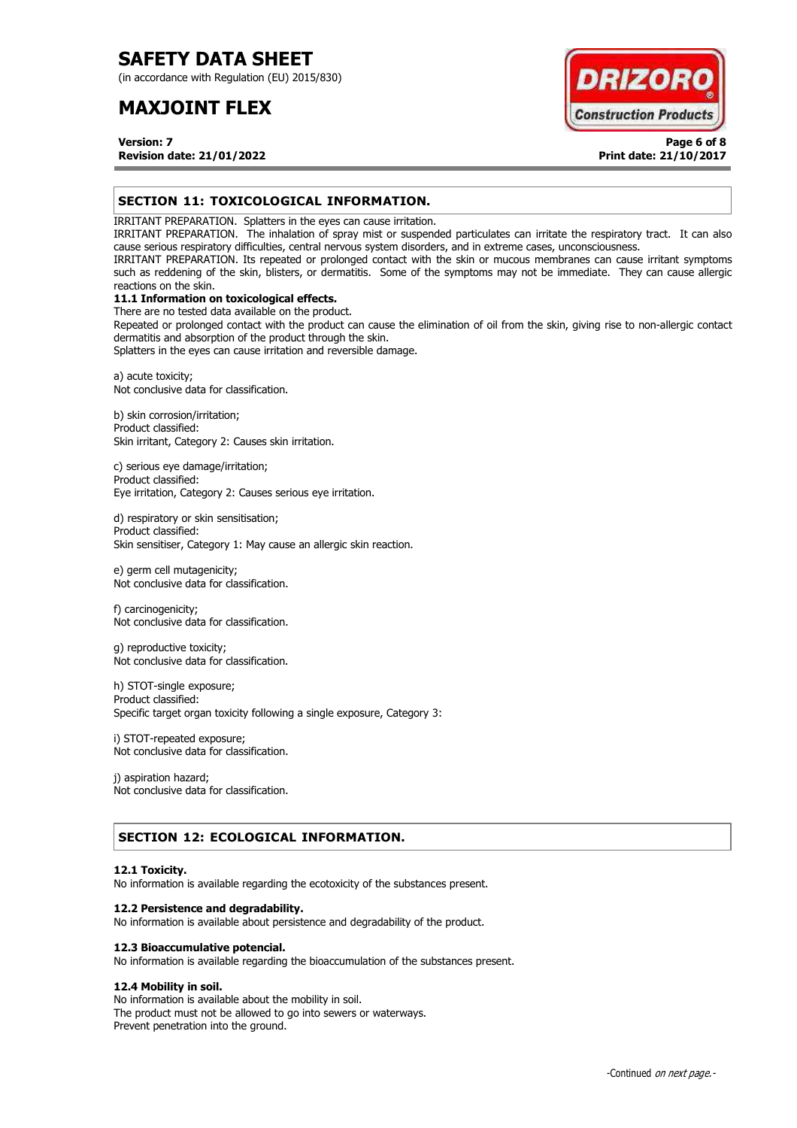(in accordance with Regulation (EU) 2015/830)

# **MAXJOINT FLEX**



**Version: 7 Page 6 of 8 Revision date: 21/01/2022 Print date: 21/10/2017**

## **SECTION 11: TOXICOLOGICAL INFORMATION.**

IRRITANT PREPARATION. Splatters in the eyes can cause irritation.

IRRITANT PREPARATION. The inhalation of spray mist or suspended particulates can irritate the respiratory tract. It can also cause serious respiratory difficulties, central nervous system disorders, and in extreme cases, unconsciousness.

IRRITANT PREPARATION. Its repeated or prolonged contact with the skin or mucous membranes can cause irritant symptoms such as reddening of the skin, blisters, or dermatitis. Some of the symptoms may not be immediate. They can cause allergic reactions on the skin.

## **11.1 Information on toxicological effects.**

There are no tested data available on the product. Repeated or prolonged contact with the product can cause the elimination of oil from the skin, giving rise to non-allergic contact dermatitis and absorption of the product through the skin.

Splatters in the eyes can cause irritation and reversible damage.

a) acute toxicity; Not conclusive data for classification.

b) skin corrosion/irritation; Product classified: Skin irritant, Category 2: Causes skin irritation.

c) serious eye damage/irritation; Product classified: Eye irritation, Category 2: Causes serious eye irritation.

d) respiratory or skin sensitisation; Product classified: Skin sensitiser, Category 1: May cause an allergic skin reaction.

e) germ cell mutagenicity; Not conclusive data for classification.

f) carcinogenicity; Not conclusive data for classification.

g) reproductive toxicity; Not conclusive data for classification.

h) STOT-single exposure; Product classified: Specific target organ toxicity following a single exposure, Category 3:

i) STOT-repeated exposure; Not conclusive data for classification.

j) aspiration hazard; Not conclusive data for classification.

## **SECTION 12: ECOLOGICAL INFORMATION.**

## **12.1 Toxicity.**

No information is available regarding the ecotoxicity of the substances present.

## **12.2 Persistence and degradability.**

No information is available about persistence and degradability of the product.

## **12.3 Bioaccumulative potencial.**

No information is available regarding the bioaccumulation of the substances present.

## **12.4 Mobility in soil.**

No information is available about the mobility in soil. The product must not be allowed to go into sewers or waterways. Prevent penetration into the ground.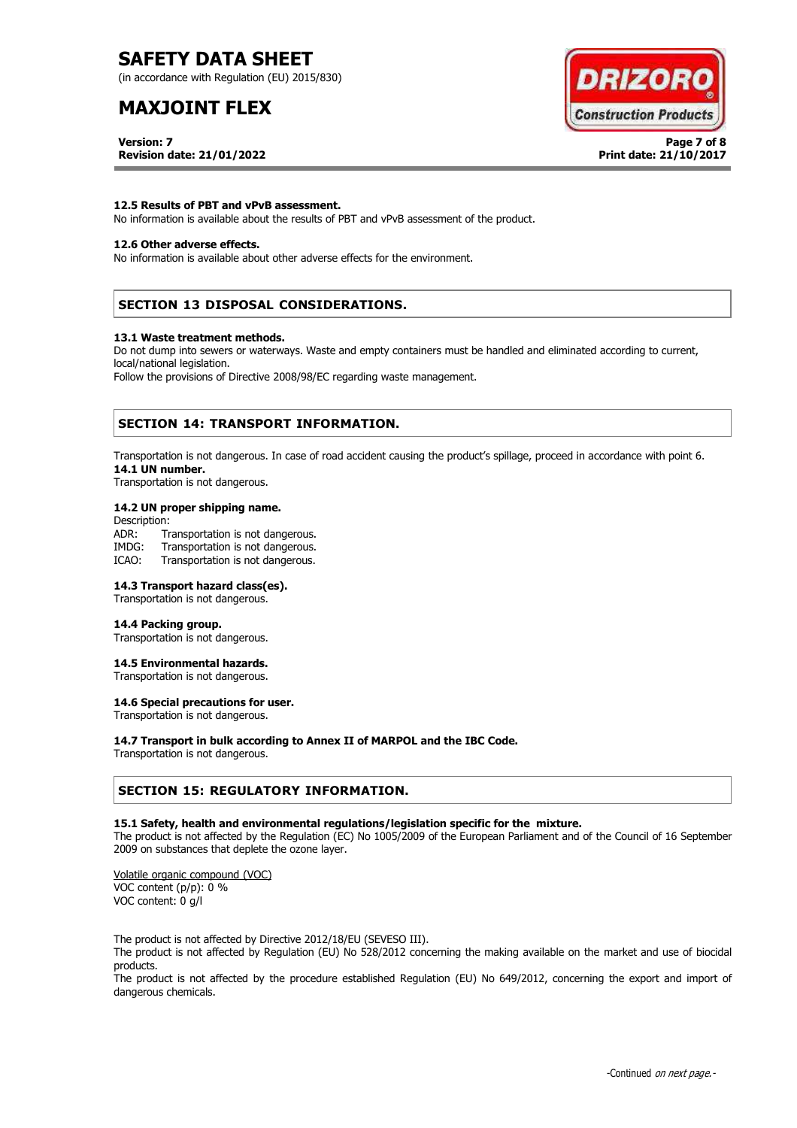(in accordance with Regulation (EU) 2015/830)

# **MAXJOINT FLEX**

**Version: 7 Page 7 of 8 Revision date: 21/01/2022 Print date: 21/10/2017**



## **12.5 Results of PBT and vPvB assessment.**

No information is available about the results of PBT and vPvB assessment of the product.

## **12.6 Other adverse effects.**

No information is available about other adverse effects for the environment.

## **SECTION 13 DISPOSAL CONSIDERATIONS.**

#### **13.1 Waste treatment methods.**

Do not dump into sewers or waterways. Waste and empty containers must be handled and eliminated according to current, local/national legislation.

Follow the provisions of Directive 2008/98/EC regarding waste management.

## **SECTION 14: TRANSPORT INFORMATION.**

Transportation is not dangerous. In case of road accident causing the product's spillage, proceed in accordance with point 6. **14.1 UN number.**

Transportation is not dangerous.

## **14.2 UN proper shipping name.**

Description: ADR: Transportation is not dangerous.<br>IMDG: Transportation is not dangerous. Transportation is not dangerous. ICAO: Transportation is not dangerous.

## **14.3 Transport hazard class(es).**

Transportation is not dangerous.

## **14.4 Packing group.**

Transportation is not dangerous.

## **14.5 Environmental hazards.**

Transportation is not dangerous.

## **14.6 Special precautions for user.**

Transportation is not dangerous.

## **14.7 Transport in bulk according to Annex II of MARPOL and the IBC Code.**

Transportation is not dangerous.

## **SECTION 15: REGULATORY INFORMATION.**

## **15.1 Safety, health and environmental regulations/legislation specific for the mixture.**

The product is not affected by the Regulation (EC) No 1005/2009 of the European Parliament and of the Council of 16 September 2009 on substances that deplete the ozone layer.

Volatile organic compound (VOC) VOC content (p/p): 0 % VOC content: 0 g/l

The product is not affected by Directive 2012/18/EU (SEVESO III).

The product is not affected by Regulation (EU) No 528/2012 concerning the making available on the market and use of biocidal products.

The product is not affected by the procedure established Regulation (EU) No 649/2012, concerning the export and import of dangerous chemicals.